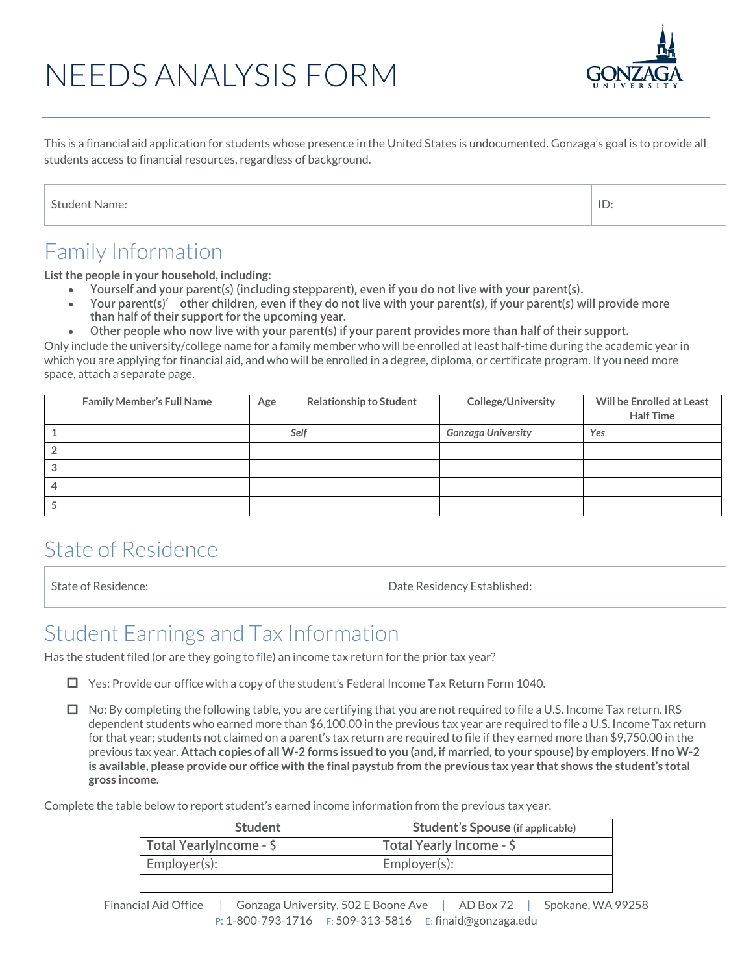# NEEDS ANALYSIS FORM



This is a financial aid application for students whose presence in the United States is undocumented. Gonzaga's goal is to provide all students access to financial resources, regardless of background.

| <b>Student Name:</b> |
|----------------------|
|                      |

#### Family Information

**List the people in your household, including:** 

- **Yourself and your parent(s) (including stepparent), even if you do not live with your parent(s).**
- **Your parent(s)' other children, even if they do not live with your parent(s), if your parent(s) will provide more than half of their support for the upcoming year.**
- **Other people who now live with your parent(s) if your parent provides more than half of their support.**

Only include the university/college name for a family member who will be enrolled at least half-time during the academic year in which you are applying for financial aid, and who will be enrolled in a degree, diploma, or certificate program. If you need more space, attach a separate page.

|    | <b>Family Member's Full Name</b> | Age | <b>Relationship to Student</b> | <b>College/University</b> | Will be Enrolled at Least |
|----|----------------------------------|-----|--------------------------------|---------------------------|---------------------------|
|    |                                  |     |                                |                           | <b>Half Time</b>          |
|    |                                  |     | Self                           | <b>Gonzaga University</b> | Yes                       |
|    |                                  |     |                                |                           |                           |
| ۰J |                                  |     |                                |                           |                           |
|    |                                  |     |                                |                           |                           |
|    |                                  |     |                                |                           |                           |

#### State of Residence

State of Residence: The Contract of Residence: The Date Residency Established:

#### Student Earnings and Tax Information

Has the student filed (or are they going to file) an income tax return for the prior tax year?

 $\Box$  Yes: Provide our office with a copy of the student's Federal Income Tax Return Form 1040.

 $\Box$  No: By completing the following table, you are certifying that you are not required to file a U.S. Income Tax return. IRS dependent students who earned more than \$6,100.00 in the previous tax year are required to file a U.S. Income Tax return for that year; students not claimed on a parent's tax return are required to file if they earned more than \$9,750.00 in the previous tax year. **Attach copies of all W-2 forms issued to you (and, if married, to your spouse) by employers**. **If no W-2 is available, please provide our office with the final paystub from the previous tax year that shows the student's total gross income.**

Complete the table below to report student's earned income information from the previous tax year.

| <b>Student</b>          | <b>Student's Spouse (if applicable)</b> |
|-------------------------|-----------------------------------------|
| Total YearlyIncome - \$ | Total Yearly Income - \$                |
| Employer(s):            | Employer(s):                            |
|                         |                                         |